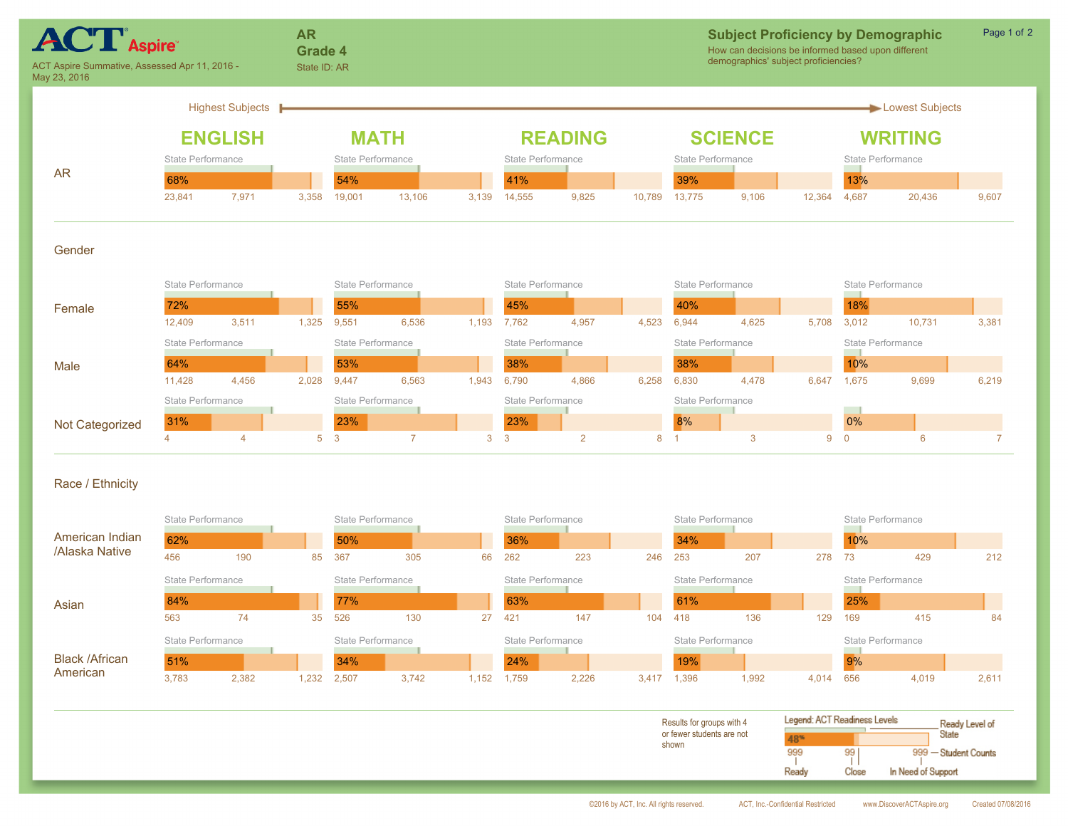